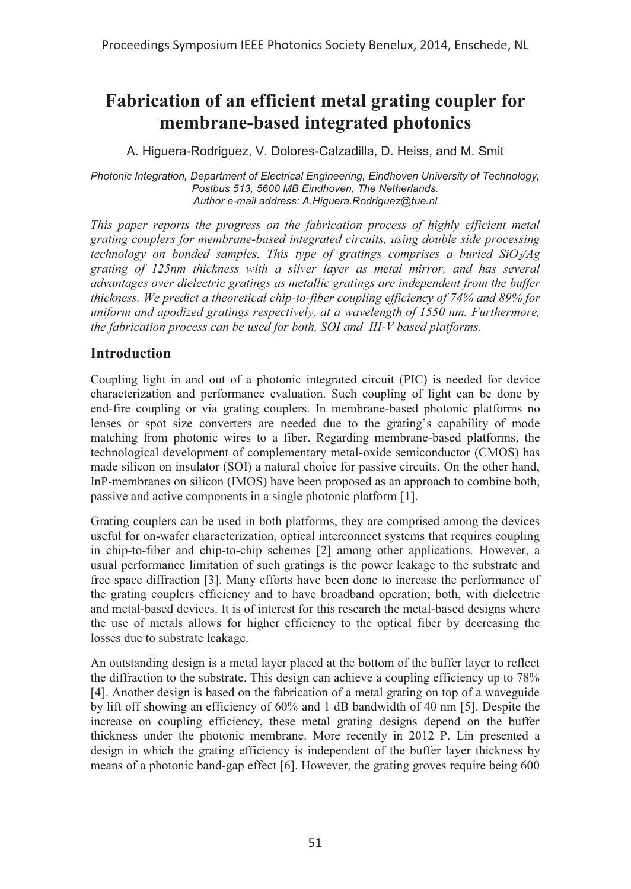# **Fabrication of an efficient metal grating coupler for membrane-based integrated photonics**

A. Higuera-Rodriguez, V. Dolores-Calzadilla, D. Heiss, and M. Smit

*Photonic Integration, Department of Electrical Engineering, Eindhoven University of Technology, Postbus 513, 5600 MB Eindhoven, The Netherlands. Author e-mail address: A.Higuera.Rodriguez@tue.nl*

*This paper reports the progress on the fabrication process of highly efficient metal grating couplers for membrane-based integrated circuits, using double side processing technology on bonded samples. This type of gratings comprises a buried SiO<sub>2</sub>/Ag grating of 125nm thickness with a silver layer as metal mirror, and has several advantages over dielectric gratings as metallic gratings are independent from the buffer thickness. We predict a theoretical chip-to-fiber coupling efficiency of 74% and 89% for uniform and apodized gratings respectively, at a wavelength of 1550 nm. Furthermore, the fabrication process can be used for both, SOI and III-V based platforms.* 

### **Introduction**

Coupling light in and out of a photonic integrated circuit (PIC) is needed for device characterization and performance evaluation. Such coupling of light can be done by end-fire coupling or via grating couplers. In membrane-based photonic platforms no lenses or spot size converters are needed due to the grating's capability of mode matching from photonic wires to a fiber. Regarding membrane-based platforms, the technological development of complementary metal-oxide semiconductor (CMOS) has made silicon on insulator (SOI) a natural choice for passive circuits. On the other hand, InP-membranes on silicon (IMOS) have been proposed as an approach to combine both, passive and active components in a single photonic platform [1].

Grating couplers can be used in both platforms, they are comprised among the devices useful for on-wafer characterization, optical interconnect systems that requires coupling in chip-to-fiber and chip-to-chip schemes [2] among other applications. However, a usual performance limitation of such gratings is the power leakage to the substrate and free space diffraction [3]. Many efforts have been done to increase the performance of the grating couplers efficiency and to have broadband operation; both, with dielectric and metal-based devices. It is of interest for this research the metal-based designs where the use of metals allows for higher efficiency to the optical fiber by decreasing the losses due to substrate leakage.

An outstanding design is a metal layer placed at the bottom of the buffer layer to reflect the diffraction to the substrate. This design can achieve a coupling efficiency up to 78% [4]. Another design is based on the fabrication of a metal grating on top of a waveguide by lift off showing an efficiency of 60% and 1 dB bandwidth of 40 nm [5]. Despite the increase on coupling efficiency, these metal grating designs depend on the buffer thickness under the photonic membrane. More recently in 2012 P. Lin presented a design in which the grating efficiency is independent of the buffer layer thickness by means of a photonic band-gap effect [6]. However, the grating groves require being 600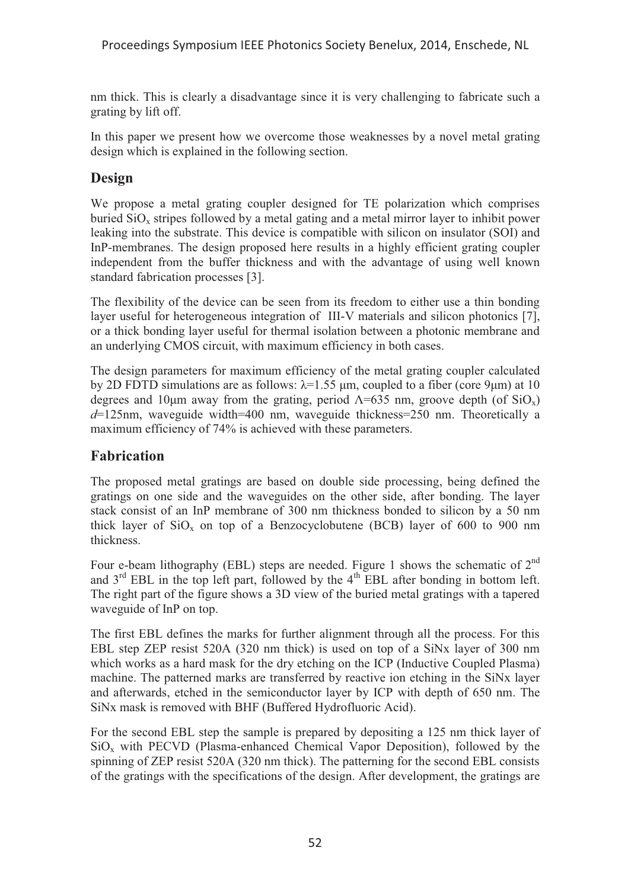nm thick. This is clearly a disadvantage since it is very challenging to fabricate such a grating by lift off.

In this paper we present how we overcome those weaknesses by a novel metal grating design which is explained in the following section.

# **Design**

We propose a metal grating coupler designed for TE polarization which comprises buried  $SiO<sub>x</sub>$  stripes followed by a metal gating and a metal mirror layer to inhibit power leaking into the substrate. This device is compatible with silicon on insulator (SOI) and InP-membranes. The design proposed here results in a highly efficient grating coupler independent from the buffer thickness and with the advantage of using well known standard fabrication processes [3].

The flexibility of the device can be seen from its freedom to either use a thin bonding layer useful for heterogeneous integration of III-V materials and silicon photonics [7], or a thick bonding layer useful for thermal isolation between a photonic membrane and an underlying CMOS circuit, with maximum efficiency in both cases.

The design parameters for maximum efficiency of the metal grating coupler calculated by 2D FDTD simulations are as follows:  $\lambda$ =1.55 μm, coupled to a fiber (core 9μm) at 10 degrees and 10μm away from the grating, period  $\Lambda$ =635 nm, groove depth (of SiO<sub>x</sub>) *d*=125nm, waveguide width=400 nm, waveguide thickness=250 nm. Theoretically a maximum efficiency of 74% is achieved with these parameters.

# **Fabrication**

The proposed metal gratings are based on double side processing, being defined the gratings on one side and the waveguides on the other side, after bonding. The layer stack consist of an InP membrane of 300 nm thickness bonded to silicon by a 50 nm thick layer of  $SiO_x$  on top of a Benzocyclobutene (BCB) layer of 600 to 900 nm thickness.

Four e-beam lithography (EBL) steps are needed. Figure 1 shows the schematic of  $2<sup>nd</sup>$ and  $3<sup>rd</sup>$  EBL in the top left part, followed by the  $4<sup>th</sup>$  EBL after bonding in bottom left. The right part of the figure shows a 3D view of the buried metal gratings with a tapered waveguide of InP on top.

The first EBL defines the marks for further alignment through all the process. For this EBL step ZEP resist 520A (320 nm thick) is used on top of a SiNx layer of 300 nm which works as a hard mask for the dry etching on the ICP (Inductive Coupled Plasma) machine. The patterned marks are transferred by reactive ion etching in the SiNx layer and afterwards, etched in the semiconductor layer by ICP with depth of 650 nm. The SiNx mask is removed with BHF (Buffered Hydrofluoric Acid).

For the second EBL step the sample is prepared by depositing a 125 nm thick layer of SiOx with PECVD (Plasma-enhanced Chemical Vapor Deposition), followed by the spinning of ZEP resist 520A (320 nm thick). The patterning for the second EBL consists of the gratings with the specifications of the design. After development, the gratings are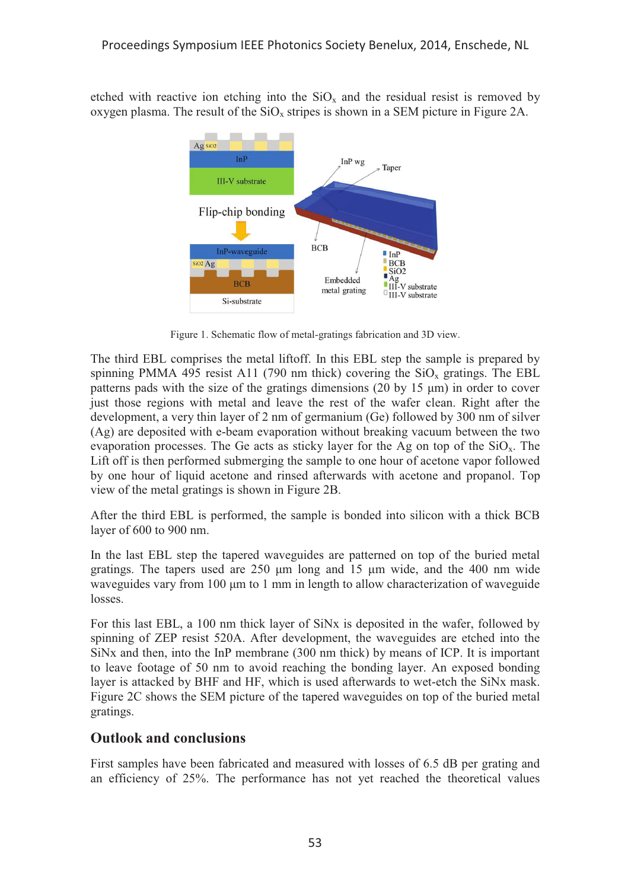etched with reactive ion etching into the  $SiO<sub>x</sub>$  and the residual resist is removed by oxygen plasma. The result of the  $SiO<sub>x</sub>$  stripes is shown in a SEM picture in Figure 2A.



Figure 1. Schematic flow of metal-gratings fabrication and 3D view.

The third EBL comprises the metal liftoff. In this EBL step the sample is prepared by spinning PMMA 495 resist A11 (790 nm thick) covering the  $SiO<sub>x</sub>$  gratings. The EBL patterns pads with the size of the gratings dimensions (20 by 15 μm) in order to cover just those regions with metal and leave the rest of the wafer clean. Right after the development, a very thin layer of 2 nm of germanium (Ge) followed by 300 nm of silver (Ag) are deposited with e-beam evaporation without breaking vacuum between the two evaporation processes. The Ge acts as sticky layer for the Ag on top of the  $SiO<sub>x</sub>$ . The Lift off is then performed submerging the sample to one hour of acetone vapor followed by one hour of liquid acetone and rinsed afterwards with acetone and propanol. Top view of the metal gratings is shown in Figure 2B.

After the third EBL is performed, the sample is bonded into silicon with a thick BCB layer of 600 to 900 nm.

In the last EBL step the tapered waveguides are patterned on top of the buried metal gratings. The tapers used are 250 μm long and 15 μm wide, and the 400 nm wide waveguides vary from 100 μm to 1 mm in length to allow characterization of waveguide losses.

For this last EBL, a 100 nm thick layer of SiNx is deposited in the wafer, followed by spinning of ZEP resist 520A. After development, the waveguides are etched into the SiNx and then, into the InP membrane (300 nm thick) by means of ICP. It is important to leave footage of 50 nm to avoid reaching the bonding layer. An exposed bonding layer is attacked by BHF and HF, which is used afterwards to wet-etch the SiNx mask. Figure 2C shows the SEM picture of the tapered waveguides on top of the buried metal gratings.

#### **Outlook and conclusions**

First samples have been fabricated and measured with losses of 6.5 dB per grating and an efficiency of 25%. The performance has not yet reached the theoretical values